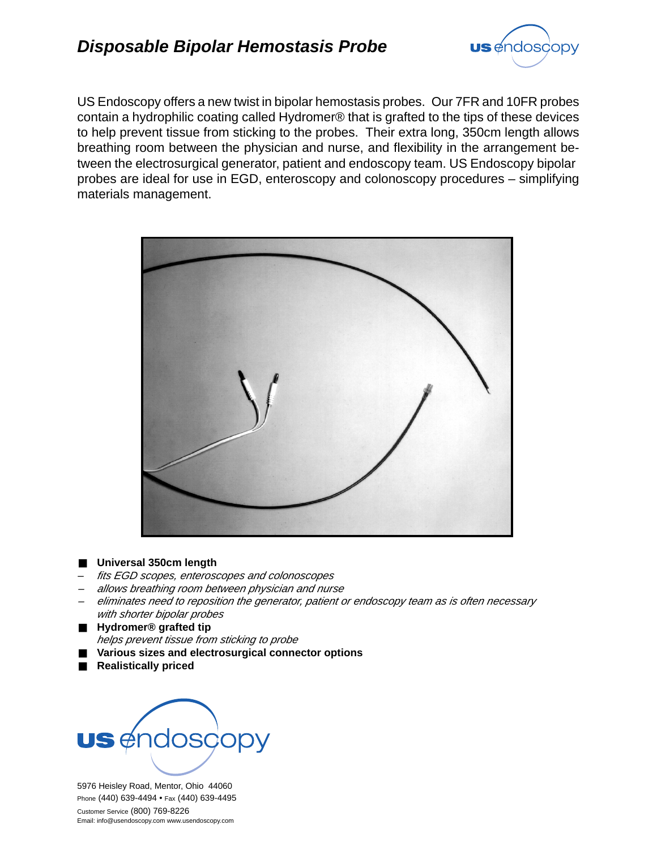

US Endoscopy offers a new twist in bipolar hemostasis probes. Our 7FR and 10FR probes contain a hydrophilic coating called Hydromer® that is grafted to the tips of these devices to help prevent tissue from sticking to the probes. Their extra long, 350cm length allows breathing room between the physician and nurse, and flexibility in the arrangement between the electrosurgical generator, patient and endoscopy team. US Endoscopy bipolar probes are ideal for use in EGD, enteroscopy and colonoscopy procedures – simplifying materials management.



## ■ Universal 350cm length

- *fits EGD scopes, enteroscopes and colonoscopes*
- *– allows breathing room between physician and nurse*
- *– eliminates need to reposition the generator, patient or endoscopy team as is often necessary with shorter bipolar probes*
- **Hydromer® grafted tip** *helps prevent tissue from sticking to probe*
- Various sizes and electrosurgical connector options
- **Realistically priced**



5976 Heisley Road, Mentor, Ohio 44060 Phone (440) 639-4494 • Fax (440) 639-4495 Customer Service (800) 769-8226 Email: info@usendoscopy.com www.usendoscopy.com